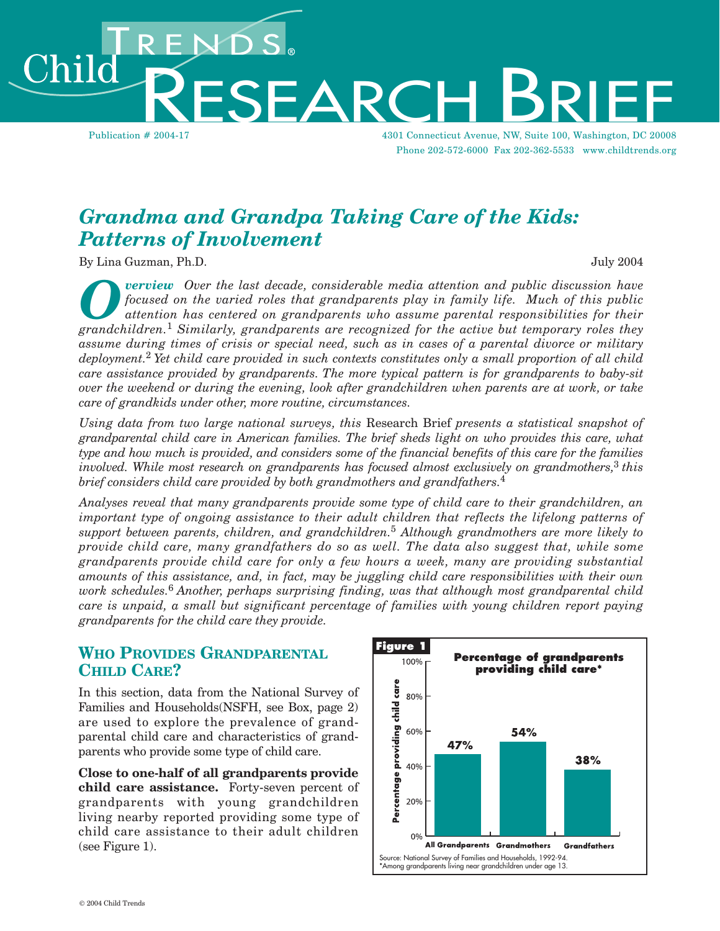Publication # 2004-17 4301 Connecticut Avenue, NW, Suite 100, Washington, DC 20008 Phone 202-572-6000 Fax 202-362-5533 www.childtrends.org

# *Grandma and Grandpa Taking Care of the Kids: Patterns of Involvement*

SEARCH

By Lina Guzman, Ph.D.  $\qquad \qquad$ 

ıik

**Overview** Over the last decade, considerable media attention and public discussion have<br>focused on the varied roles that grandparents play in family life. Much of this public<br>attention has centered on grandparents who ass *focused on the varied roles that grandparents play in family life. Much of this public attention has centered on grandparents who assume parental responsibilities for their grandchildren.*<sup>1</sup> *Similarly, grandparents are recognized for the active but temporary roles they assume during times of crisis or special need, such as in cases of a parental divorce or military deployment.*2 *Yet child care provided in such contexts constitutes only a small proportion of all child care assistance provided by grandparents. The more typical pattern is for grandparents to baby-sit over the weekend or during the evening, look after grandchildren when parents are at work, or take care of grandkids under other, more routine, circumstances.* 

*Using data from two large national surveys, this* Research Brief *presents a statistical snapshot of grandparental child care in American families. The brief sheds light on who provides this care, what type and how much is provided, and considers some of the financial benefits of this care for the families involved. While most research on grandparents has focused almost exclusively on grandmothers,*<sup>3</sup> *this brief considers child care provided by both grandmothers and grandfathers.*<sup>4</sup>

*Analyses reveal that many grandparents provide some type of child care to their grandchildren, an important type of ongoing assistance to their adult children that reflects the lifelong patterns of support between parents, children, and grandchildren.*<sup>5</sup> *Although grandmothers are more likely to provide child care, many grandfathers do so as well. The data also suggest that, while some grandparents provide child care for only a few hours a week, many are providing substantial amounts of this assistance, and, in fact, may be juggling child care responsibilities with their own work schedules.*6 *Another, perhaps surprising finding, was that although most grandparental child care is unpaid, a small but significant percentage of families with young children report paying grandparents for the child care they provide.* 

#### **WHO PROVIDES GRANDPARENTAL CHILD CARE?**

In this section, data from the National Survey of Families and Households(NSFH, see Box, page 2) are used to explore the prevalence of grandparental child care and characteristics of grandparents who provide some type of child care.

**Close to one-half of all grandparents provide child care assistance.** Forty-seven percent of grandparents with young grandchildren living nearby reported providing some type of child care assistance to their adult children (see Figure 1).

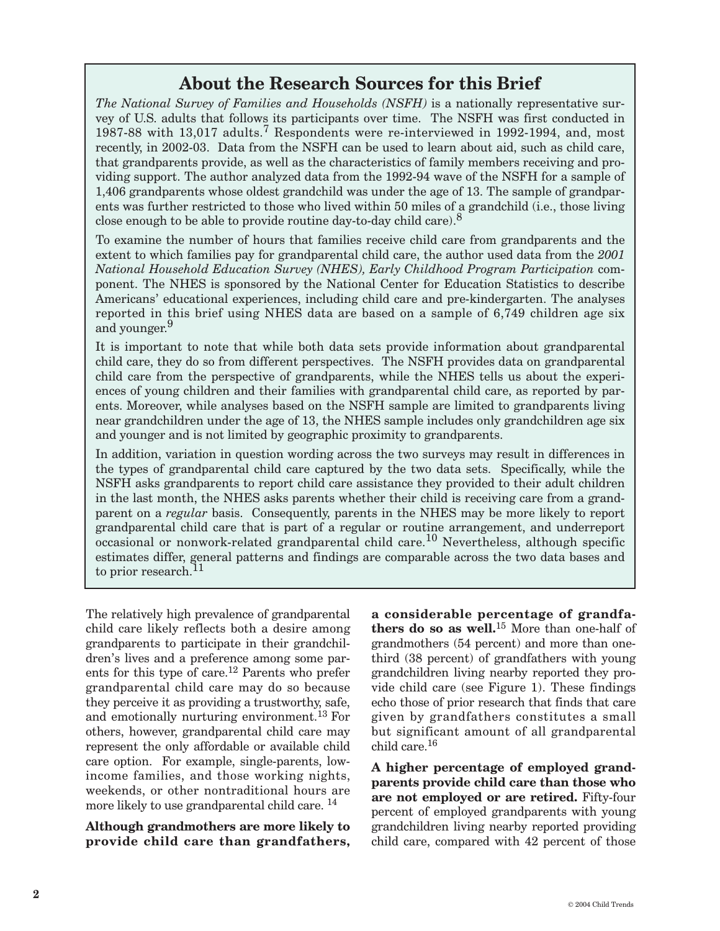# **About the Research Sources for this Brief**

*The National Survey of Families and Households (NSFH)* is a nationally representative survey of U.S. adults that follows its participants over time. The NSFH was first conducted in 1987-88 with 13,017 adults.<sup>7</sup> Respondents were re-interviewed in 1992-1994, and, most recently, in 2002-03. Data from the NSFH can be used to learn about aid, such as child care, that grandparents provide, as well as the characteristics of family members receiving and providing support. The author analyzed data from the 1992-94 wave of the NSFH for a sample of 1,406 grandparents whose oldest grandchild was under the age of 13. The sample of grandparents was further restricted to those who lived within 50 miles of a grandchild (i.e., those living close enough to be able to provide routine day-to-day child care).<sup>8</sup>

To examine the number of hours that families receive child care from grandparents and the extent to which families pay for grandparental child care, the author used data from the *2001 National Household Education Survey (NHES), Early Childhood Program Participation* component. The NHES is sponsored by the National Center for Education Statistics to describe Americans' educational experiences, including child care and pre-kindergarten. The analyses reported in this brief using NHES data are based on a sample of 6,749 children age six and younger.<sup>9</sup>

It is important to note that while both data sets provide information about grandparental child care, they do so from different perspectives. The NSFH provides data on grandparental child care from the perspective of grandparents, while the NHES tells us about the experiences of young children and their families with grandparental child care, as reported by parents. Moreover, while analyses based on the NSFH sample are limited to grandparents living near grandchildren under the age of 13, the NHES sample includes only grandchildren age six and younger and is not limited by geographic proximity to grandparents.

In addition, variation in question wording across the two surveys may result in differences in the types of grandparental child care captured by the two data sets. Specifically, while the NSFH asks grandparents to report child care assistance they provided to their adult children in the last month, the NHES asks parents whether their child is receiving care from a grandparent on a *regular* basis. Consequently, parents in the NHES may be more likely to report grandparental child care that is part of a regular or routine arrangement, and underreport occasional or nonwork-related grandparental child care.<sup>10</sup> Nevertheless, although specific estimates differ, general patterns and findings are comparable across the two data bases and to prior research.<sup>11</sup>

The relatively high prevalence of grandparental child care likely reflects both a desire among grandparents to participate in their grandchildren's lives and a preference among some parents for this type of care.12 Parents who prefer grandparental child care may do so because they perceive it as providing a trustworthy, safe, and emotionally nurturing environment.<sup>13</sup> For others, however, grandparental child care may represent the only affordable or available child care option. For example, single-parents, lowincome families, and those working nights, weekends, or other nontraditional hours are more likely to use grandparental child care. 14

**Although grandmothers are more likely to provide child care than grandfathers,**  **a considerable percentage of grandfathers do so as well.**<sup>15</sup> More than one-half of grandmothers (54 percent) and more than onethird (38 percent) of grandfathers with young grandchildren living nearby reported they provide child care (see Figure 1). These findings echo those of prior research that finds that care given by grandfathers constitutes a small but significant amount of all grandparental child care.16

**A higher percentage of employed grandparents provide child care than those who are not employed or are retired.** Fifty-four percent of employed grandparents with young grandchildren living nearby reported providing child care, compared with 42 percent of those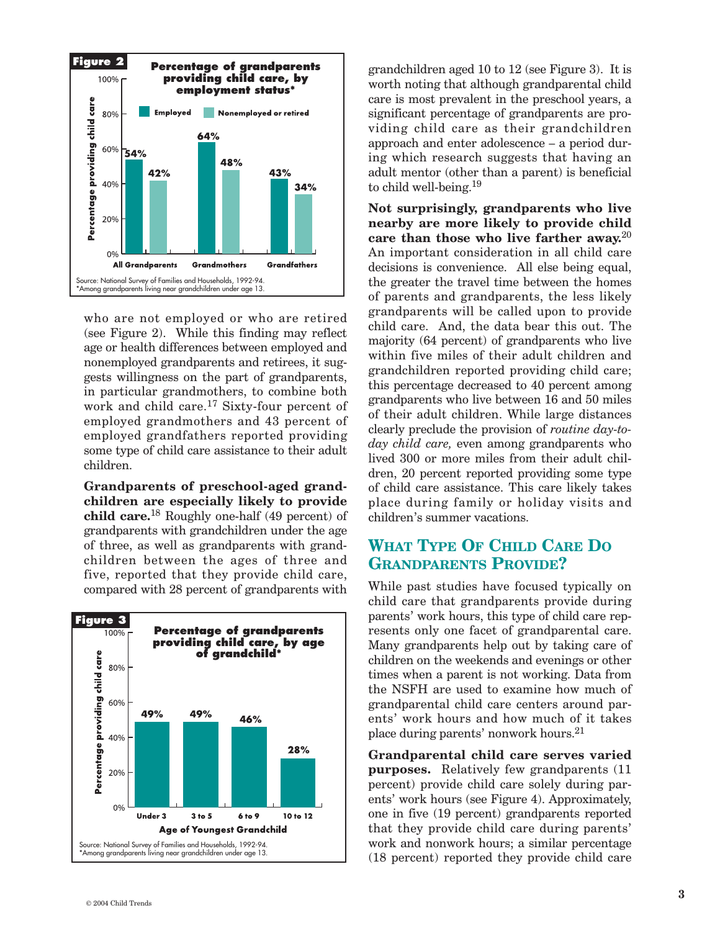

who are not employed or who are retired (see Figure 2). While this finding may reflect age or health differences between employed and nonemployed grandparents and retirees, it suggests willingness on the part of grandparents, in particular grandmothers, to combine both work and child care.<sup>17</sup> Sixty-four percent of employed grandmothers and 43 percent of employed grandfathers reported providing some type of child care assistance to their adult children.

**Grandparents of preschool-aged grandchildren are especially likely to provide child care.**<sup>18</sup> Roughly one-half (49 percent) of grandparents with grandchildren under the age of three, as well as grandparents with grandchildren between the ages of three and five, reported that they provide child care, compared with 28 percent of grandparents with



grandchildren aged 10 to 12 (see Figure 3). It is worth noting that although grandparental child care is most prevalent in the preschool years, a significant percentage of grandparents are providing child care as their grandchildren approach and enter adolescence – a period during which research suggests that having an adult mentor (other than a parent) is beneficial to child well-being.19

**Not surprisingly, grandparents who live nearby are more likely to provide child care than those who live farther away.**<sup>20</sup> An important consideration in all child care decisions is convenience. All else being equal, the greater the travel time between the homes of parents and grandparents, the less likely grandparents will be called upon to provide child care. And, the data bear this out. The majority (64 percent) of grandparents who live within five miles of their adult children and grandchildren reported providing child care; this percentage decreased to 40 percent among grandparents who live between 16 and 50 miles of their adult children. While large distances clearly preclude the provision of *routine day-today child care,* even among grandparents who lived 300 or more miles from their adult children, 20 percent reported providing some type of child care assistance. This care likely takes place during family or holiday visits and children's summer vacations.

### **WHAT TYPE OF CHILD CARE DO GRANDPARENTS PROVIDE?**

While past studies have focused typically on child care that grandparents provide during parents' work hours, this type of child care represents only one facet of grandparental care. Many grandparents help out by taking care of children on the weekends and evenings or other times when a parent is not working. Data from the NSFH are used to examine how much of grandparental child care centers around parents' work hours and how much of it takes place during parents' nonwork hours.21

**Grandparental child care serves varied purposes.** Relatively few grandparents (11 percent) provide child care solely during parents' work hours (see Figure 4). Approximately, one in five (19 percent) grandparents reported that they provide child care during parents' work and nonwork hours; a similar percentage (18 percent) reported they provide child care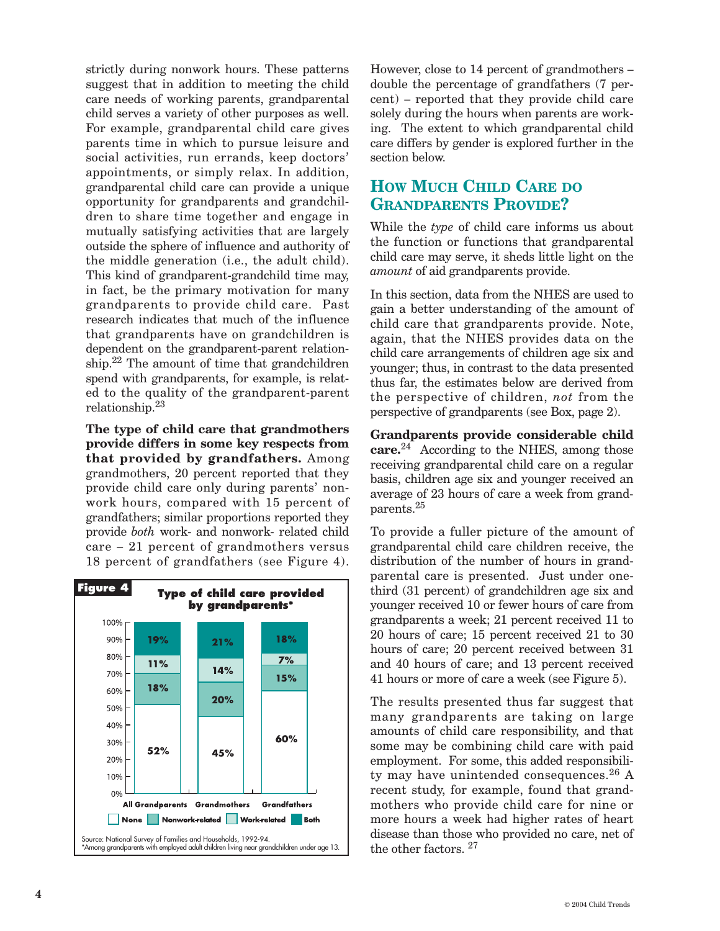strictly during nonwork hours. These patterns suggest that in addition to meeting the child care needs of working parents, grandparental child serves a variety of other purposes as well. For example, grandparental child care gives parents time in which to pursue leisure and social activities, run errands, keep doctors' appointments, or simply relax. In addition, grandparental child care can provide a unique opportunity for grandparents and grandchildren to share time together and engage in mutually satisfying activities that are largely outside the sphere of influence and authority of the middle generation (i.e., the adult child). This kind of grandparent-grandchild time may, in fact, be the primary motivation for many grandparents to provide child care. Past research indicates that much of the influence that grandparents have on grandchildren is dependent on the grandparent-parent relationship.22 The amount of time that grandchildren spend with grandparents, for example, is related to the quality of the grandparent-parent relationship.23

**The type of child care that grandmothers provide differs in some key respects from that provided by grandfathers.** Among grandmothers, 20 percent reported that they provide child care only during parents' nonwork hours, compared with 15 percent of grandfathers; similar proportions reported they provide *both* work- and nonwork- related child care – 21 percent of grandmothers versus 18 percent of grandfathers (see Figure 4).



However, close to 14 percent of grandmothers – double the percentage of grandfathers (7 percent) – reported that they provide child care solely during the hours when parents are working. The extent to which grandparental child care differs by gender is explored further in the section below.

## **HOW MUCH CHILD CARE DO GRANDPARENTS PROVIDE?**

While the *type* of child care informs us about the function or functions that grandparental child care may serve, it sheds little light on the *amount* of aid grandparents provide.

In this section, data from the NHES are used to gain a better understanding of the amount of child care that grandparents provide. Note, again, that the NHES provides data on the child care arrangements of children age six and younger; thus, in contrast to the data presented thus far, the estimates below are derived from the perspective of children, *not* from the perspective of grandparents (see Box, page 2).

**Grandparents provide considerable child care.**<sup>24</sup> According to the NHES, among those receiving grandparental child care on a regular basis, children age six and younger received an average of 23 hours of care a week from grandparents.25

To provide a fuller picture of the amount of grandparental child care children receive, the distribution of the number of hours in grandparental care is presented. Just under onethird (31 percent) of grandchildren age six and younger received 10 or fewer hours of care from grandparents a week; 21 percent received 11 to 20 hours of care; 15 percent received 21 to 30 hours of care; 20 percent received between 31 and 40 hours of care; and 13 percent received 41 hours or more of care a week (see Figure 5).

The results presented thus far suggest that many grandparents are taking on large amounts of child care responsibility, and that some may be combining child care with paid employment. For some, this added responsibility may have unintended consequences.<sup>26</sup> A recent study, for example, found that grandmothers who provide child care for nine or more hours a week had higher rates of heart disease than those who provided no care, net of the other factors. 27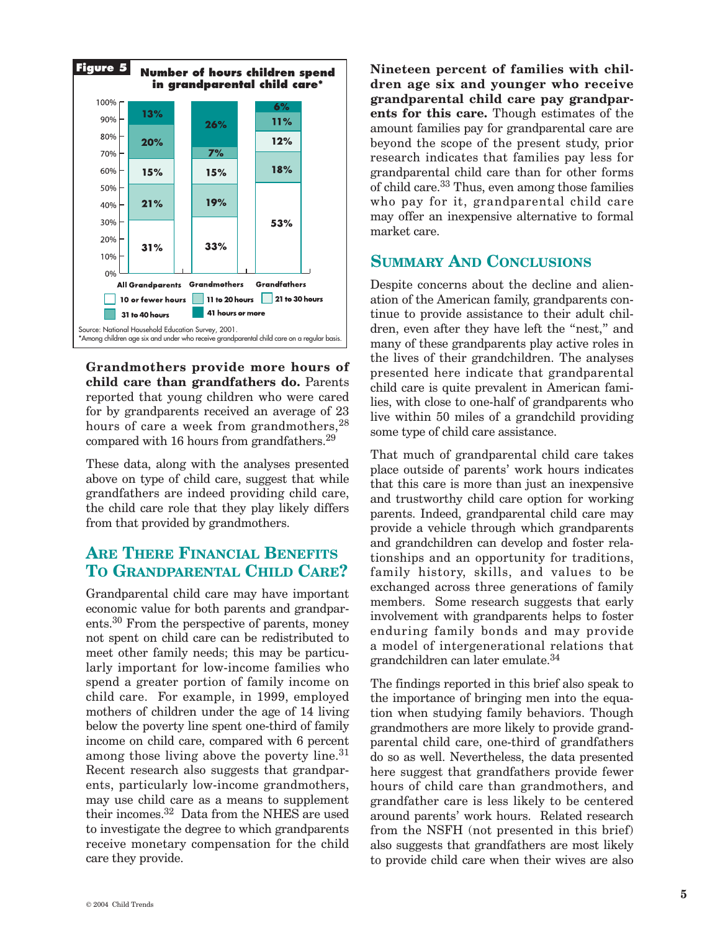

**Grandmothers provide more hours of child care than grandfathers do.** Parents reported that young children who were cared for by grandparents received an average of 23 hours of care a week from grandmothers,  $28$ compared with 16 hours from grandfathers.29

These data, along with the analyses presented above on type of child care, suggest that while grandfathers are indeed providing child care, the child care role that they play likely differs from that provided by grandmothers.

### **ARE THERE FINANCIAL BENEFITS TO GRANDPARENTAL CHILD CARE?**

Grandparental child care may have important economic value for both parents and grandparents.30 From the perspective of parents, money not spent on child care can be redistributed to meet other family needs; this may be particularly important for low-income families who spend a greater portion of family income on child care. For example, in 1999, employed mothers of children under the age of 14 living below the poverty line spent one-third of family income on child care, compared with 6 percent among those living above the poverty line.<sup>31</sup> Recent research also suggests that grandparents, particularly low-income grandmothers, may use child care as a means to supplement their incomes.<sup>32</sup> Data from the NHES are used to investigate the degree to which grandparents receive monetary compensation for the child care they provide.

**Nineteen percent of families with children age six and younger who receive grandparental child care pay grandparents for this care.** Though estimates of the amount families pay for grandparental care are beyond the scope of the present study, prior research indicates that families pay less for grandparental child care than for other forms of child care.33 Thus, even among those families who pay for it, grandparental child care may offer an inexpensive alternative to formal market care.

#### **SUMMARY AND CONCLUSIONS**

Despite concerns about the decline and alienation of the American family, grandparents continue to provide assistance to their adult children, even after they have left the "nest," and many of these grandparents play active roles in the lives of their grandchildren. The analyses presented here indicate that grandparental child care is quite prevalent in American families, with close to one-half of grandparents who live within 50 miles of a grandchild providing some type of child care assistance.

That much of grandparental child care takes place outside of parents' work hours indicates that this care is more than just an inexpensive and trustworthy child care option for working parents. Indeed, grandparental child care may provide a vehicle through which grandparents and grandchildren can develop and foster relationships and an opportunity for traditions, family history, skills, and values to be exchanged across three generations of family members. Some research suggests that early involvement with grandparents helps to foster enduring family bonds and may provide a model of intergenerational relations that grandchildren can later emulate.34

The findings reported in this brief also speak to the importance of bringing men into the equation when studying family behaviors. Though grandmothers are more likely to provide grandparental child care, one-third of grandfathers do so as well. Nevertheless, the data presented here suggest that grandfathers provide fewer hours of child care than grandmothers, and grandfather care is less likely to be centered around parents' work hours. Related research from the NSFH (not presented in this brief) also suggests that grandfathers are most likely to provide child care when their wives are also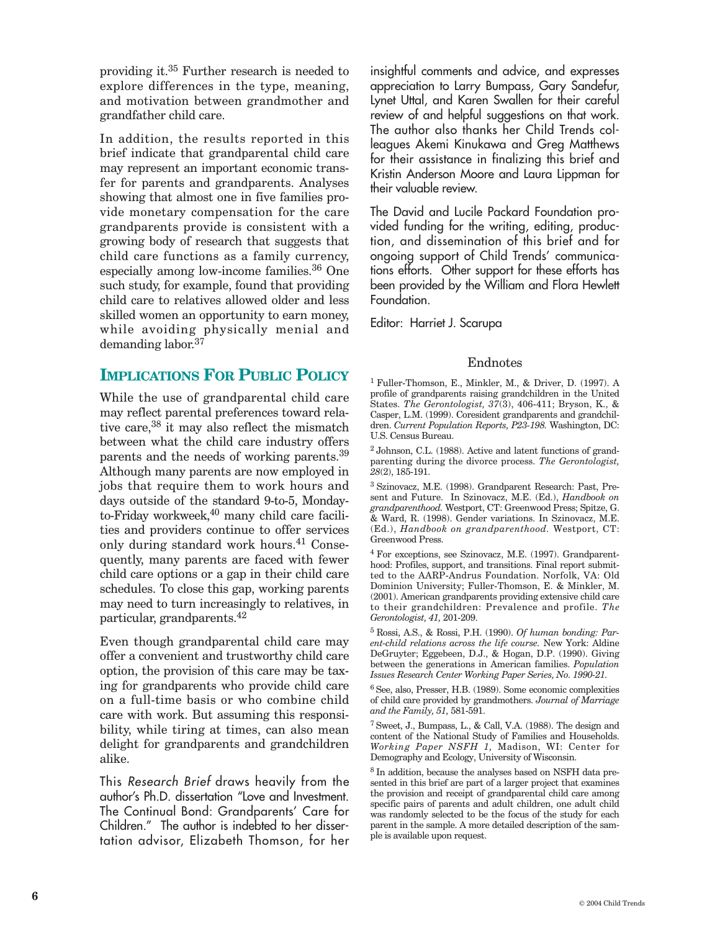providing it.35 Further research is needed to explore differences in the type, meaning, and motivation between grandmother and grandfather child care.

In addition, the results reported in this brief indicate that grandparental child care may represent an important economic transfer for parents and grandparents. Analyses showing that almost one in five families provide monetary compensation for the care grandparents provide is consistent with a growing body of research that suggests that child care functions as a family currency, especially among low-income families.36 One such study, for example, found that providing child care to relatives allowed older and less skilled women an opportunity to earn money, while avoiding physically menial and demanding labor.<sup>37</sup>

#### **IMPLICATIONS FOR PUBLIC POLICY**

While the use of grandparental child care may reflect parental preferences toward relative care,<sup>38</sup> it may also reflect the mismatch between what the child care industry offers parents and the needs of working parents.39 Although many parents are now employed in jobs that require them to work hours and days outside of the standard 9-to-5, Mondayto-Friday workweek,<sup>40</sup> many child care facilities and providers continue to offer services only during standard work hours.<sup>41</sup> Consequently, many parents are faced with fewer child care options or a gap in their child care schedules. To close this gap, working parents may need to turn increasingly to relatives, in particular, grandparents.42

Even though grandparental child care may offer a convenient and trustworthy child care option, the provision of this care may be taxing for grandparents who provide child care on a full-time basis or who combine child care with work. But assuming this responsibility, while tiring at times, can also mean delight for grandparents and grandchildren alike.

This *Research Brief* draws heavily from the author's Ph.D. dissertation "Love and Investment. The Continual Bond: Grandparents' Care for Children." The author is indebted to her dissertation advisor, Elizabeth Thomson, for her

insightful comments and advice, and expresses appreciation to Larry Bumpass, Gary Sandefur, Lynet Uttal, and Karen Swallen for their careful review of and helpful suggestions on that work. The author also thanks her Child Trends colleagues Akemi Kinukawa and Greg Matthews for their assistance in finalizing this brief and Kristin Anderson Moore and Laura Lippman for their valuable review.

The David and Lucile Packard Foundation provided funding for the writing, editing, production, and dissemination of this brief and for ongoing support of Child Trends' communications efforts. Other support for these efforts has been provided by the William and Flora Hewlett Foundation.

Editor: Harriet J. Scarupa

#### Endnotes

1 Fuller-Thomson, E., Minkler, M., & Driver, D. (1997). A profile of grandparents raising grandchildren in the United States. *The Gerontologist, 37*(3), 406-411; Bryson, K., & Casper, L.M. (1999). Coresident grandparents and grandchildren. *Current Population Reports, P23-198.* Washington, DC: U.S. Census Bureau.

2 Johnson, C.L. (1988). Active and latent functions of grandparenting during the divorce process. *The Gerontologist, 28*(2), 185-191.

3 Szinovacz, M.E. (1998). Grandparent Research: Past, Present and Future. In Szinovacz, M.E. (Ed.), *Handbook on grandparenthood.* Westport, CT: Greenwood Press; Spitze, G. & Ward, R. (1998). Gender variations. In Szinovacz, M.E. (Ed.), *Handbook on grandparenthood.* Westport, CT: Greenwood Press.

4 For exceptions, see Szinovacz, M.E. (1997). Grandparenthood: Profiles, support, and transitions. Final report submitted to the AARP-Andrus Foundation. Norfolk, VA: Old Dominion University; Fuller-Thomson, E. & Minkler, M. (2001). American grandparents providing extensive child care to their grandchildren: Prevalence and profile. *The Gerontologist, 41,* 201-209.

5 Rossi, A.S., & Rossi, P.H. (1990). *Of human bonding: Parent-child relations across the life course.* New York: Aldine DeGruyter; Eggebeen, D.J., & Hogan, D.P. (1990). Giving between the generations in American families. *Population Issues Research Center Working Paper Series, No. 1990-21.*

6 See, also, Presser, H.B. (1989). Some economic complexities of child care provided by grandmothers. *Journal of Marriage and the Family, 51,* 581-591.

7 Sweet, J., Bumpass, L., & Call, V.A. (1988). The design and content of the National Study of Families and Households. *Working Paper NSFH 1,* Madison, WI: Center for Demography and Ecology, University of Wisconsin.

8 In addition, because the analyses based on NSFH data presented in this brief are part of a larger project that examines the provision and receipt of grandparental child care among specific pairs of parents and adult children, one adult child was randomly selected to be the focus of the study for each parent in the sample. A more detailed description of the sample is available upon request.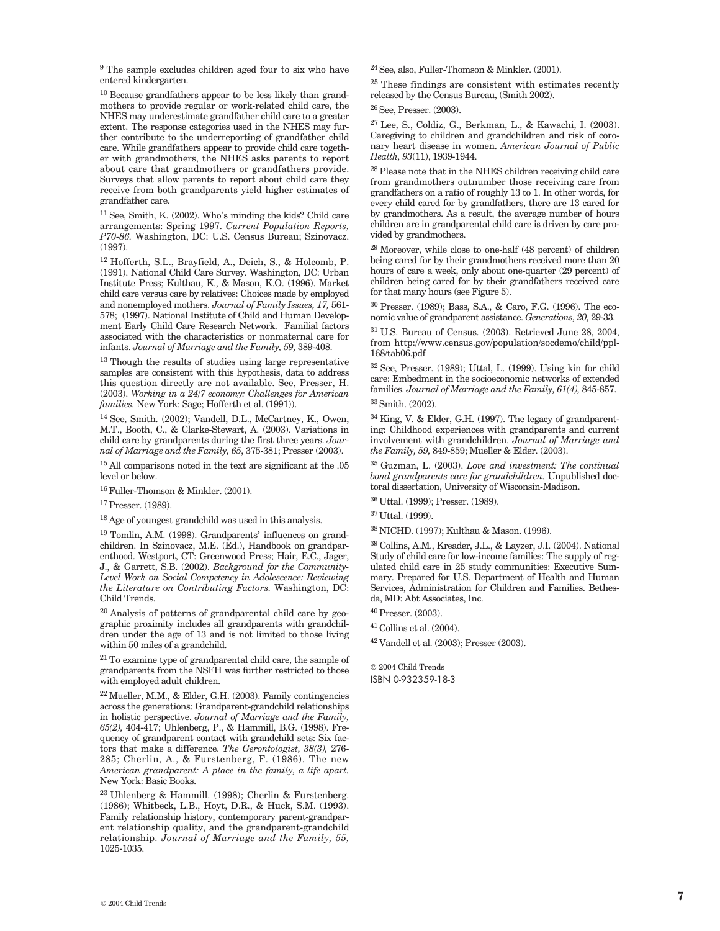9 The sample excludes children aged four to six who have entered kindergarten.

10 Because grandfathers appear to be less likely than grandmothers to provide regular or work-related child care, the NHES may underestimate grandfather child care to a greater extent. The response categories used in the NHES may further contribute to the underreporting of grandfather child care. While grandfathers appear to provide child care together with grandmothers, the NHES asks parents to report about care that grandmothers or grandfathers provide. Surveys that allow parents to report about child care they receive from both grandparents yield higher estimates of grandfather care.

11 See, Smith, K. (2002). Who's minding the kids? Child care arrangements: Spring 1997. *Current Population Reports, P70-86.* Washington, DC: U.S. Census Bureau; Szinovacz. (1997).

12 Hofferth, S.L., Brayfield, A., Deich, S., & Holcomb, P. (1991). National Child Care Survey. Washington, DC: Urban Institute Press; Kulthau, K., & Mason, K.O. (1996). Market child care versus care by relatives: Choices made by employed and nonemployed mothers. *Journal of Family Issues, 17,* 561- 578; (1997). National Institute of Child and Human Development Early Child Care Research Network. Familial factors associated with the characteristics or nonmaternal care for infants. *Journal of Marriage and the Family, 59,* 389-408.

 $^{13}$  Though the results of studies using large representative samples are consistent with this hypothesis, data to address this question directly are not available. See, Presser, H. (2003). *Working in a 24/7 economy: Challenges for American families.* New York: Sage; Hofferth et al. (1991)).

14 See, Smith. (2002); Vandell, D.L., McCartney, K., Owen, M.T., Booth, C., & Clarke-Stewart, A. (2003). Variations in child care by grandparents during the first three years. *Journal of Marriage and the Family, 65*, 375-381; Presser (2003).

15 All comparisons noted in the text are significant at the .05 level or below.

16 Fuller-Thomson & Minkler. (2001).

17 Presser. (1989).

18 Age of youngest grandchild was used in this analysis.

19 Tomlin, A.M. (1998). Grandparents' influences on grandchildren. In Szinovacz, M.E. (Ed.), Handbook on grandparenthood. Westport, CT: Greenwood Press; Hair, E.C., Jager, J., & Garrett, S.B. (2002). *Background for the Community-Level Work on Social Competency in Adolescence: Reviewing the Literature on Contributing Factors.* Washington, DC: Child Trends.

20 Analysis of patterns of grandparental child care by geographic proximity includes all grandparents with grandchildren under the age of 13 and is not limited to those living within 50 miles of a grandchild.

21 To examine type of grandparental child care, the sample of grandparents from the NSFH was further restricted to those with employed adult children.

 $22$  Mueller, M.M., & Elder, G.H. (2003). Family contingencies across the generations: Grandparent-grandchild relationships in holistic perspective. *Journal of Marriage and the Family, 65(2),* 404-417; Uhlenberg, P., & Hammill, B.G. (1998). Frequency of grandparent contact with grandchild sets: Six factors that make a difference. *The Gerontologist, 38(3),* 276- 285; Cherlin, A., & Furstenberg, F. (1986). The new *American grandparent: A place in the family, a life apart.* New York: Basic Books.

23 Uhlenberg & Hammill. (1998); Cherlin & Furstenberg. (1986); Whitbeck, L.B., Hoyt, D.R., & Huck, S.M. (1993). Family relationship history, contemporary parent-grandparent relationship quality, and the grandparent-grandchild relationship. *Journal of Marriage and the Family, 55,* 1025-1035.

24 See, also, Fuller-Thomson & Minkler. (2001).

25 These findings are consistent with estimates recently released by the Census Bureau, (Smith 2002).

26 See, Presser. (2003).

27 Lee, S., Coldiz, G., Berkman, L., & Kawachi, I. (2003). Caregiving to children and grandchildren and risk of coronary heart disease in women. *American Journal of Public Health, 93*(11), 1939-1944.

28 Please note that in the NHES children receiving child care from grandmothers outnumber those receiving care from grandfathers on a ratio of roughly 13 to 1. In other words, for every child cared for by grandfathers, there are 13 cared for by grandmothers. As a result, the average number of hours children are in grandparental child care is driven by care provided by grandmothers.

29 Moreover, while close to one-half (48 percent) of children being cared for by their grandmothers received more than 20 hours of care a week, only about one-quarter (29 percent) of children being cared for by their grandfathers received care for that many hours (see Figure 5).

30 Presser. (1989); Bass, S.A., & Caro, F.G. (1996). The economic value of grandparent assistance. *Generations, 20,* 29-33.

31 U.S. Bureau of Census. (2003). Retrieved June 28, 2004, from http://www.census.gov/population/socdemo/child/ppl-168/tab06.pdf

32 See, Presser. (1989); Uttal, L. (1999). Using kin for child care: Embedment in the socioeconomic networks of extended families. *Journal of Marriage and the Family, 61(4),* 845-857. 33 Smith. (2002).

34 King, V. & Elder, G.H. (1997). The legacy of grandparenting: Childhood experiences with grandparents and current involvement with grandchildren. *Journal of Marriage and the Family, 59,* 849-859; Mueller & Elder. (2003).

35 Guzman, L. (2003). *Love and investment: The continual bond grandparents care for grandchildren.* Unpublished doctoral dissertation, University of Wisconsin-Madison.

36 Uttal. (1999); Presser. (1989).

37 Uttal. (1999).

38 NICHD. (1997); Kulthau & Mason. (1996).

39 Collins, A.M., Kreader, J.L., & Layzer, J.I. (2004). National Study of child care for low-income families: The supply of regulated child care in 25 study communities: Executive Summary. Prepared for U.S. Department of Health and Human Services, Administration for Children and Families. Bethesda, MD: Abt Associates, Inc.

40 Presser. (2003).

41 Collins et al. (2004).

42 Vandell et al. (2003); Presser (2003).

© 2004 Child Trends ISBN 0-932359-18-3